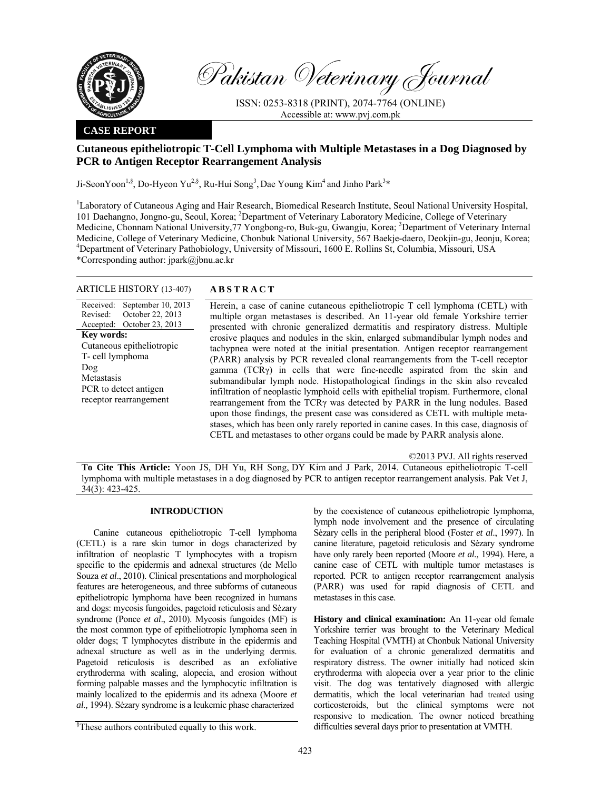

Pakistan Veterinary Journal

ISSN: 0253-8318 (PRINT), 2074-7764 (ONLINE) Accessible at: www.pvj.com.pk

### **CASE REPORT**

# **Cutaneous epitheliotropic T-Cell Lymphoma with Multiple Metastases in a Dog Diagnosed by PCR to Antigen Receptor Rearrangement Analysis**

Ji-SeonYoon<sup>1,§</sup>, Do-Hyeon Yu<sup>2,§</sup>, Ru-Hui Song<sup>3</sup>, Dae Young Kim<sup>4</sup> and Jinho Park<sup>3</sup>\*

<sup>1</sup>Laboratory of Cutaneous Aging and Hair Research, Biomedical Research Institute, Seoul National University Hospital, 101 Daehangno, Jongno-gu, Seoul, Korea; <sup>2</sup>Department of Veterinary Laboratory Medicine, College of Veterinary Medicine, Chonnam National University, 77 Yongbong-ro, Buk-gu, Gwangju, Korea; <sup>3</sup>Department of Veterinary Internal Medicine, College of Veterinary Medicine, Chonbuk National University, 567 Baekje-daero, Deokjin-gu, Jeonju, Korea; 4 Department of Veterinary Pathobiology, University of Missouri, 1600 E. Rollins St, Columbia, Missouri, USA \*Corresponding author: jpark@jbnu.ac.kr

### ARTICLE HISTORY (13-407) **ABSTRACT**

Received: Revised: Accepted: September 10, 2013 October 22, 2013 October 23, 2013 **Key words:**  Cutaneous epitheliotropic T- cell lymphoma Dog Metastasis PCR to detect antigen receptor rearrangement

 Herein, a case of canine cutaneous epitheliotropic T cell lymphoma (CETL) with multiple organ metastases is described. An 11-year old female Yorkshire terrier presented with chronic generalized dermatitis and respiratory distress. Multiple erosive plaques and nodules in the skin, enlarged submandibular lymph nodes and tachypnea were noted at the initial presentation. Antigen receptor rearrangement (PARR) analysis by PCR revealed clonal rearrangements from the T-cell receptor gamma (TCRγ) in cells that were fine-needle aspirated from the skin and submandibular lymph node. Histopathological findings in the skin also revealed infiltration of neoplastic lymphoid cells with epithelial tropism. Furthermore, clonal rearrangement from the TCRγ was detected by PARR in the lung nodules. Based upon those findings, the present case was considered as CETL with multiple metastases, which has been only rarely reported in canine cases. In this case, diagnosis of CETL and metastases to other organs could be made by PARR analysis alone.

©2013 PVJ. All rights reserved

**To Cite This Article:** Yoon JS, DH Yu, RH Song, DY Kim and J Park, 2014. Cutaneous epitheliotropic T-cell lymphoma with multiple metastases in a dog diagnosed by PCR to antigen receptor rearrangement analysis. Pak Vet J, 34(3): 423-425.

## **INTRODUCTION**

Canine cutaneous epitheliotropic T-cell lymphoma (CETL) is a rare skin tumor in dogs characterized by infiltration of neoplastic T lymphocytes with a tropism specific to the epidermis and adnexal structures (de Mello Souza *et al*., 2010). Clinical presentations and morphological features are heterogeneous, and three subforms of cutaneous epitheliotropic lymphoma have been recognized in humans and dogs: mycosis fungoides, pagetoid reticulosis and Sėzary syndrome (Ponce *et al*., 2010). Mycosis fungoides (MF) is the most common type of epitheliotropic lymphoma seen in older dogs; T lymphocytes distribute in the epidermis and adnexal structure as well as in the underlying dermis. Pagetoid reticulosis is described as an exfoliative erythroderma with scaling, alopecia, and erosion without forming palpable masses and the lymphocytic infiltration is mainly localized to the epidermis and its adnexa (Moore *et al.,* 1994). Sėzary syndrome is a leukemic phase characterized

by the coexistence of cutaneous epitheliotropic lymphoma, lymph node involvement and the presence of circulating Sėzary cells in the peripheral blood (Foster *et al*., 1997). In canine literature, pagetoid reticulosis and Sėzary syndrome have only rarely been reported (Moore *et al.,* 1994). Here, a canine case of CETL with multiple tumor metastases is reported. PCR to antigen receptor rearrangement analysis (PARR) was used for rapid diagnosis of CETL and metastases in this case.

**History and clinical examination:** An 11-year old female Yorkshire terrier was brought to the Veterinary Medical Teaching Hospital (VMTH) at Chonbuk National University for evaluation of a chronic generalized dermatitis and respiratory distress. The owner initially had noticed skin erythroderma with alopecia over a year prior to the clinic visit. The dog was tentatively diagnosed with allergic dermatitis, which the local veterinarian had treated using corticosteroids, but the clinical symptoms were not responsive to medication. The owner noticed breathing difficulties several days prior to presentation at VMTH.

<sup>§</sup> These authors contributed equally to this work.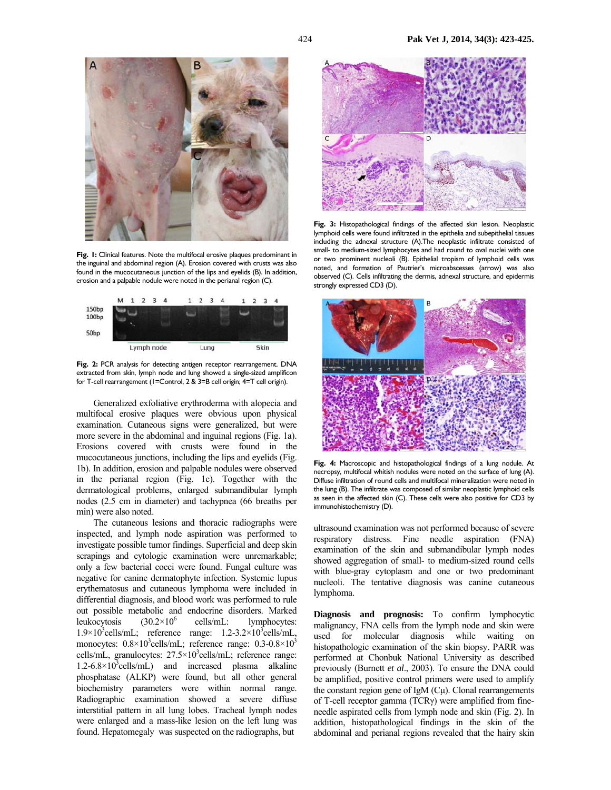

**Fig. 1:** Clinical features. Note the multifocal erosive plaques predominant in the inguinal and abdominal region (A). Erosion covered with crusts was also found in the mucocutaneous junction of the lips and eyelids (B). In addition, erosion and a palpable nodule were noted in the perianal region (C).



**Fig. 2:** PCR analysis for detecting antigen receptor rearrangement. DNA extracted from skin, lymph node and lung showed a single-sized amplificon for T-cell rearrangement (1=Control, 2 & 3=B cell origin; 4=T cell origin).

Generalized exfoliative erythroderma with alopecia and multifocal erosive plaques were obvious upon physical examination. Cutaneous signs were generalized, but were more severe in the abdominal and inguinal regions (Fig. 1a). Erosions covered with crusts were found in the mucocutaneous junctions, including the lips and eyelids (Fig. 1b). In addition, erosion and palpable nodules were observed in the perianal region (Fig. 1c). Together with the dermatological problems, enlarged submandibular lymph nodes (2.5 cm in diameter) and tachypnea (66 breaths per min) were also noted.

The cutaneous lesions and thoracic radiographs were inspected, and lymph node aspiration was performed to investigate possible tumor findings. Superficial and deep skin scrapings and cytologic examination were unremarkable; only a few bacterial cocci were found. Fungal culture was negative for canine dermatophyte infection. Systemic lupus erythematosus and cutaneous lymphoma were included in differential diagnosis, and blood work was performed to rule out possible metabolic and endocrine disorders. Marked leukocytosis  $(30.2\times10^6$  cells/mL: lymphocytes:  $1.9 \times 10^3$ cells/mL; reference range:  $1.2 - 3.2 \times 10^3$ cells/mL, monocytes:  $0.8 \times 10^3$ cells/mL; reference range:  $0.3 - 0.8 \times 10^3$ cells/mL, granulocytes: 27.5×10<sup>3</sup>cells/mL; reference range:  $1.2 - 6.8 \times 10^3$ cells/mL) and increased plasma alkaline phosphatase (ALKP) were found, but all other general biochemistry parameters were within normal range. Radiographic examination showed a severe diffuse interstitial pattern in all lung lobes. Tracheal lymph nodes were enlarged and a mass-like lesion on the left lung was found. Hepatomegaly was suspected on the radiographs, but



**Fig. 3:** Histopathological findings of the affected skin lesion. Neoplastic lymphoid cells were found infiltrated in the epithelia and subepithelial tissues including the adnexal structure (A).The neoplastic infiltrate consisted of small- to medium-sized lymphocytes and had round to oval nuclei with one or two prominent nucleoli (B). Epithelial tropism of lymphoid cells was noted, and formation of Pautrier's microabscesses (arrow) was also observed (C). Cells infiltrating the dermis, adnexal structure, and epidermis strongly expressed CD3 (D).



**Fig. 4:** Macroscopic and histopathological findings of a lung nodule. At necropsy, multifocal whitish nodules were noted on the surface of lung (A). Diffuse infiltration of round cells and multifocal mineralization were noted in the lung (B). The infiltrate was composed of similar neoplastic lymphoid cells as seen in the affected skin (C). These cells were also positive for CD3 by immunohistochemistry (D).

ultrasound examination was not performed because of severe respiratory distress. Fine needle aspiration (FNA) examination of the skin and submandibular lymph nodes showed aggregation of small- to medium-sized round cells with blue-gray cytoplasm and one or two predominant nucleoli. The tentative diagnosis was canine cutaneous lymphoma.

**Diagnosis and prognosis:** To confirm lymphocytic malignancy, FNA cells from the lymph node and skin were used for molecular diagnosis while waiting on histopathologic examination of the skin biopsy. PARR was performed at Chonbuk National University as described previously (Burnett *et al*., 2003). To ensure the DNA could be amplified, positive control primers were used to amplify the constant region gene of IgM  $(C<sub>\mu</sub>)$ . Clonal rearrangements of T-cell receptor gamma (TCRγ) were amplified from fineneedle aspirated cells from lymph node and skin (Fig. 2). In addition, histopathological findings in the skin of the abdominal and perianal regions revealed that the hairy skin